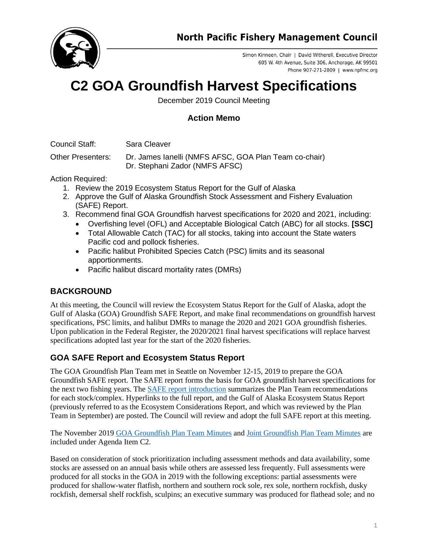

Simon Kinneen, Chair | David Witherell, Executive Director 605 W. 4th Avenue, Suite 306, Anchorage, AK 99501 Phone 907-271-2809 | www.npfmc.org

# **C2 GOA Groundfish Harvest Specifications**

December 2019 Council Meeting

# **Action Memo**

Council Staff: Sara Cleaver

Other Presenters: Dr. James Ianelli (NMFS AFSC, GOA Plan Team co-chair) Dr. Stephani Zador (NMFS AFSC)

Action Required:

- 1. Review the 2019 Ecosystem Status Report for the Gulf of Alaska
- 2. Approve the Gulf of Alaska Groundfish Stock Assessment and Fishery Evaluation (SAFE) Report.
- 3. Recommend final GOA Groundfish harvest specifications for 2020 and 2021, including:
	- Overfishing level (OFL) and Acceptable Biological Catch (ABC) for all stocks. **[SSC]**
		- Total Allowable Catch (TAC) for all stocks, taking into account the State waters Pacific cod and pollock fisheries.
		- Pacific halibut Prohibited Species Catch (PSC) limits and its seasonal apportionments.
		- Pacific halibut discard mortality rates (DMRs)

# **BACKGROUND**

At this meeting, the Council will review the Ecosystem Status Report for the Gulf of Alaska, adopt the Gulf of Alaska (GOA) Groundfish SAFE Report, and make final recommendations on groundfish harvest specifications, PSC limits, and halibut DMRs to manage the 2020 and 2021 GOA groundfish fisheries. Upon publication in the Federal Register, the 2020/2021 final harvest specifications will replace harvest specifications adopted last year for the start of the 2020 fisheries.

## **GOA SAFE Report and Ecosystem Status Report**

The GOA Groundfish Plan Team met in Seattle on November 12-15, 2019 to prepare the GOA Groundfish SAFE report. The SAFE report forms the basis for GOA groundfish harvest specifications for the next two fishing years. The [SAFE report introduction](https://meetings.npfmc.org/CommentReview/DownloadFile?p=d144b5b2-3294-4a7f-a980-6e47eebd9511.pdf&fileName=C2%20GOA%20SAFE%20Intro%20Chapter.pdf) summarizes the Plan Team recommendations for each stock/complex. Hyperlinks to the full report, and the Gulf of Alaska Ecosystem Status Report (previously referred to as the Ecosystem Considerations Report, and which was reviewed by the Plan Team in September) are posted. The Council will review and adopt the full SAFE report at this meeting.

The November 2019 [GOA Groundfish Plan Team](https://meetings.npfmc.org/CommentReview/DownloadFile?p=8f74fcfc-ab86-4acb-8b39-06a4014053d2.pdf&fileName=C2%20GOA%20PT%20Minutes%20Nov%202019.pdf) Minutes an[d Joint Groundfish Plan Team Minutes](https://meetings.npfmc.org/CommentReview/DownloadFile?p=8174f923-45ef-43c4-8fe4-7bdd1325046c.pdf&fileName=C1%20C2%20Joint%20Minutes%20Nov%202019.pdf) are included under Agenda Item C2.

Based on consideration of stock prioritization including assessment methods and data availability, some stocks are assessed on an annual basis while others are assessed less frequently. Full assessments were produced for all stocks in the GOA in 2019 with the following exceptions: partial assessments were produced for shallow-water flatfish, northern and southern rock sole, rex sole, northern rockfish, dusky rockfish, demersal shelf rockfish, sculpins; an executive summary was produced for flathead sole; and no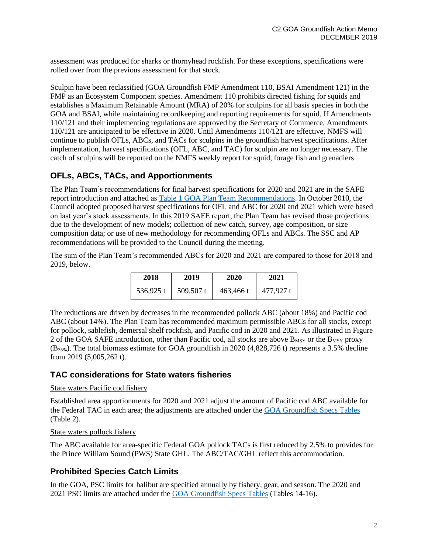assessment was produced for sharks or thornyhead rockfish. For these exceptions, specifications were rolled over from the previous assessment for that stock.

Sculpin have been reclassified (GOA Groundfish FMP Amendment 110, BSAI Amendment 121) in the FMP as an Ecosystem Component species. Amendment 110 prohibits directed fishing for squids and establishes a Maximum Retainable Amount (MRA) of 20% for sculpins for all basis species in both the GOA and BSAI, while maintaining recordkeeping and reporting requirements for squid. If Amendments 110/121 and their implementing regulations are approved by the Secretary of Commerce, Amendments 110/121 are anticipated to be effective in 2020. Until Amendments 110/121 are effective, NMFS will continue to publish OFLs, ABCs, and TACs for sculpins in the groundfish harvest specifications. After implementation, harvest specifications (OFL, ABC, and TAC) for sculpin are no longer necessary. The catch of sculpins will be reported on the NMFS weekly report for squid, forage fish and grenadiers.

## **OFLs, ABCs, TACs, and Apportionments**

The Plan Team's recommendations for final harvest specifications for 2020 and 2021 are in the SAFE report introduction and attached as [Table 1 GOA Plan Team Recommendations.](https://meetings.npfmc.org/CommentReview/DownloadFile?p=31346982-75a3-4dc9-9563-254a5f744cca.xlsx&fileName=C2%20Table%201%20GOA%20Plan%20Team%20Recommendations%20EXCEL.xlsx) In October 2010, the Council adopted proposed harvest specifications for OFL and ABC for 2020 and 2021 which were based on last year's stock assessments. In this 2019 SAFE report, the Plan Team has revised those projections due to the development of new models; collection of new catch, survey, age composition, or size composition data; or use of new methodology for recommending OFLs and ABCs. The SSC and AP recommendations will be provided to the Council during the meeting.

The sum of the Plan Team's recommended ABCs for 2020 and 2021 are compared to those for 2018 and 2019, below.

| 2018      | 2019        | 2020      | 2021      |
|-----------|-------------|-----------|-----------|
| 536,925 t | $509,507$ t | 463,466 t | 477.927 t |

The reductions are driven by decreases in the recommended pollock ABC (about 18%) and Pacific cod ABC (about 14%). The Plan Team has recommended maximum permissible ABCs for all stocks, except for pollock, sablefish, demersal shelf rockfish, and Pacific cod in 2020 and 2021. As illustrated in Figure 2 of the GOA SAFE introduction, other than Pacific cod, all stocks are above  $B_{MSV}$  or the  $B_{MSV}$  proxy (B35%). The total biomass estimate for GOA groundfish in 2020 (4,828,726 t) represents a 3.5% decline from 2019 (5,005,262 t).

## **TAC considerations for State waters fisheries**

#### State waters Pacific cod fishery

Established area apportionments for 2020 and 2021 adjust the amount of Pacific cod ABC available for the Federal TAC in each area; the adjustments are attached under the [GOA Groundfish Specs Tables](https://meetings.npfmc.org/CommentReview/DownloadFile?p=6ee56887-fc8b-4195-88b2-dd7659529520.pdf&fileName=C2%20GOA%20Groundfish%20Specs%20Tables.pdf) (Table 2).

#### State waters pollock fishery

The ABC available for area-specific Federal GOA pollock TACs is first reduced by 2.5% to provides for the Prince William Sound (PWS) State GHL. The ABC/TAC/GHL reflect this accommodation.

## **Prohibited Species Catch Limits**

In the GOA, PSC limits for halibut are specified annually by fishery, gear, and season. The 2020 and 2021 PSC limits are attached under the [GOA Groundfish Specs](https://meetings.npfmc.org/CommentReview/DownloadFile?p=6ee56887-fc8b-4195-88b2-dd7659529520.pdf&fileName=C2%20GOA%20Groundfish%20Specs%20Tables.pdf) Tables (Tables 14-16).